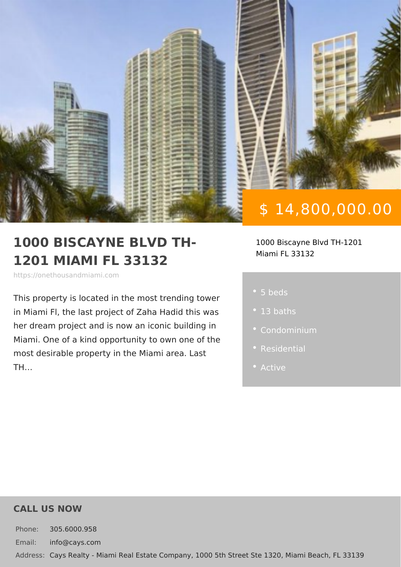# \$ 14,800,000.00

#### 1000 BISCAYNE BLVD TH- 1000 Biscayne Blvd TH-1201 1201 MIAMI FL 33132 Miami FL 33132

https://onethousandmiami.com

This property is located in the most tre in Miami Fl, the last project of Zaha Ha her dream project and is now an iconic Miami. One of a kind opportunity to own most desirable property in the Miami ar TH &

- 5 beds
- 
- 
- 
- 

#### CALL US NOW

Phone: 305.6000.958 Email: info@cays.com Addres Cays Realty - Miami Real Estate Company, 1000 5th Street Ste 1320, Mia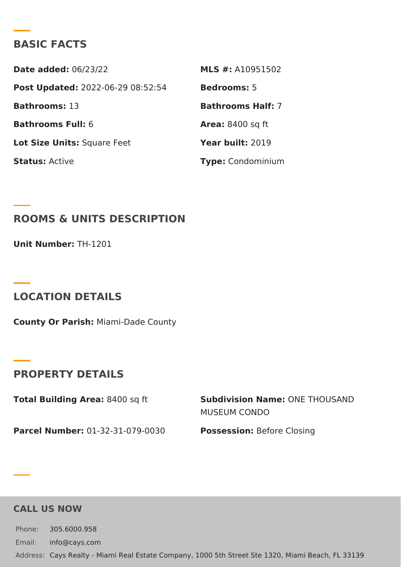### BASIC FACTS

Date added: 6/23/22 MLS #: A10951502 Post Update @022-06-29 08:52:54Bedrooms5 Bathroomst 3 Bathrooms Half: Bathrooms Fu6I: Area: 8400 sq ft Lot Size Unifsquare Feet Year buil 2:019 StatusActive Type Condominium

ROOMS & UNITS DESCRIPTION

Unit NumberH-1201

LOCATION DETAILS

County Or Paris/liami-Dade County

PROPERTY DETAILS

Total Building Ar& 4a00 sq ft Subdivision NamOeNE THOUSAND MUSEUM CONDO

Parcel NumbeCr1-32-31-079-0030 PossessioBefore Closing

CALL US NOW

Phone: 305.6000.958 Email: info@cays.com Addres Cays Realty - Miami Real Estate Company, 1000 5th Street Ste 1320, Mia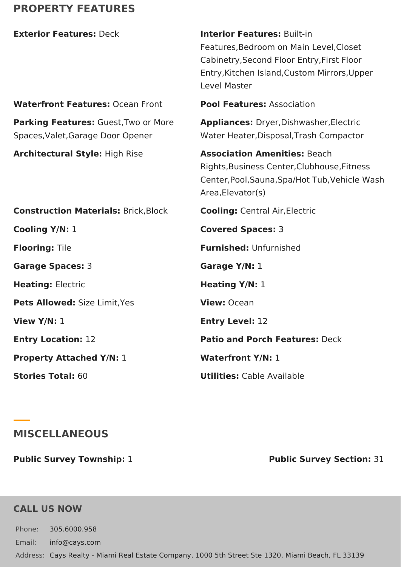# **PROPERTY FEATURES**

| <b>Exterior Features: Deck</b>                                            | <b>Interior Features: Built-in</b><br>Features, Bedroom on Main Level, Closet<br>Cabinetry, Second Floor Entry, First Floor<br>Entry, Kitchen Island, Custom Mirrors, Upper<br>Level Master |
|---------------------------------------------------------------------------|---------------------------------------------------------------------------------------------------------------------------------------------------------------------------------------------|
| <b>Waterfront Features: Ocean Front</b>                                   | <b>Pool Features: Association</b>                                                                                                                                                           |
| Parking Features: Guest, Two or More<br>Spaces, Valet, Garage Door Opener | Appliances: Dryer, Dishwasher, Electric<br>Water Heater, Disposal, Trash Compactor                                                                                                          |
| <b>Architectural Style: High Rise</b>                                     | <b>Association Amenities: Beach</b><br>Rights, Business Center, Clubhouse, Fitness<br>Center, Pool, Sauna, Spa/Hot Tub, Vehicle Wash<br>Area, Elevator(s)                                   |
| <b>Construction Materials: Brick, Block</b>                               | <b>Cooling: Central Air, Electric</b>                                                                                                                                                       |
| Cooling Y/N: 1                                                            | <b>Covered Spaces: 3</b>                                                                                                                                                                    |
| <b>Flooring: Tile</b>                                                     | <b>Furnished: Unfurnished</b>                                                                                                                                                               |
| Garage Spaces: 3                                                          | Garage Y/N: 1                                                                                                                                                                               |
| <b>Heating: Electric</b>                                                  | <b>Heating Y/N: 1</b>                                                                                                                                                                       |
| Pets Allowed: Size Limit, Yes                                             | View: Ocean                                                                                                                                                                                 |
| View Y/N: 1                                                               | <b>Entry Level: 12</b>                                                                                                                                                                      |
| <b>Entry Location: 12</b>                                                 | <b>Patio and Porch Features: Deck</b>                                                                                                                                                       |
| <b>Property Attached Y/N: 1</b>                                           | <b>Waterfront Y/N: 1</b>                                                                                                                                                                    |
| <b>Stories Total: 60</b>                                                  | <b>Utilities:</b> Cable Available                                                                                                                                                           |
|                                                                           |                                                                                                                                                                                             |

## **MISCELLANEOUS**

**Public Survey Township:** 1 **Public Survey Section:** 31

### **CALL US NOW**

Phone: 305.6000.958 Email: info@cays.com Address: Cays Realty - Miami Real Estate Company, 1000 5th Street Ste 1320, Miami Beach, FL 33139